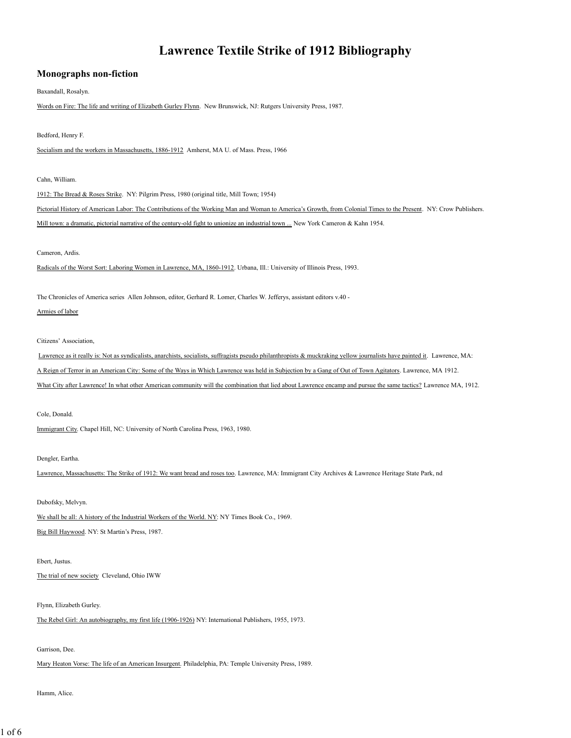# **Lawrence Textile Strike of 1912 Bibliography**

## **Monographs non-fiction**

Baxandall, Rosalyn.

Words on Fire: The life and writing of Elizabeth Gurley Flynn. New Brunswick, NJ: Rutgers University Press, 1987.

## Bedford, Henry F.

Socialism and the workers in Massachusetts, 1886-1912 Amherst, MA U. of Mass. Press, 1966

## Cahn, William.

1912: The Bread & Roses Strike. NY: Pilgrim Press, 1980 (original title, Mill Town; 1954)

Pictorial History of American Labor: The Contributions of the Working Man and Woman to America's Growth, from Colonial Times to the Present. NY: Crow Publishers. Mill town: a dramatic, pictorial narrative of the century-old fight to unionize an industrial town ... New York Cameron & Kahn 1954.

#### Cameron, Ardis.

Radicals of the Worst Sort: Laboring Women in Lawrence, MA, 1860-1912. Urbana, Ill.: University of Illinois Press, 1993.

The Chronicles of America series Allen Johnson, editor, Gerhard R. Lomer, Charles W. Jefferys, assistant editors v.40 -

## Armies of labor

Citizens' Association,

Lawrence as it really is: Not as syndicalists, anarchists, socialists, suffragists pseudo philanthropists & muckraking yellow journalists have painted it. Lawrence, MA: A Reign of Terror in an American City: Some of the Ways in Which Lawrence was held in Subjection by a Gang of Out of Town Agitators. Lawrence, MA 1912. What City after Lawrence! In what other American community will the combination that lied about Lawrence encamp and pursue the same tactics? Lawrence MA, 1912.

#### Cole, Donald.

Immigrant City. Chapel Hill, NC: University of North Carolina Press, 1963, 1980.

## Dengler, Eartha.

Lawrence, Massachusetts: The Strike of 1912: We want bread and roses too. Lawrence, MA: Immigrant City Archives & Lawrence Heritage State Park, nd

Dubofsky, Melvyn.

We shall be all: A history of the Industrial Workers of the World. NY: NY Times Book Co., 1969.

Big Bill Haywood. NY: St Martin's Press, 1987.

#### Ebert, Justus.

The trial of new society Cleveland, Ohio IWW

## Flynn, Elizabeth Gurley.

The Rebel Girl: An autobiography, my first life (1906-1926) NY: International Publishers, 1955, 1973.

#### Garrison, Dee.

Mary Heaton Vorse: The life of an American Insurgent. Philadelphia, PA: Temple University Press, 1989.

#### Hamm, Alice.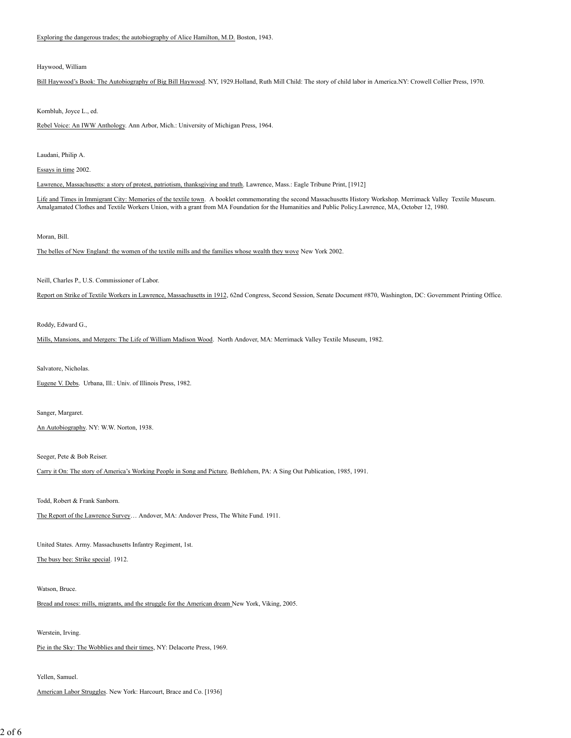Exploring the dangerous trades; the autobiography of Alice Hamilton, M.D. Boston, 1943.

#### Haywood, William

Bill Haywood's Book: The Autobiography of Big Bill Haywood. NY, 1929.Holland, Ruth Mill Child: The story of child labor in America.NY: Crowell Collier Press, 1970.

Kornbluh, Joyce L., ed.

Rebel Voice: An IWW Anthology. Ann Arbor, Mich.: University of Michigan Press, 1964.

Laudani, Philip A.

Essays in time 2002.

Lawrence, Massachusetts: a story of protest, patriotism, thanksgiving and truth. Lawrence, Mass.: Eagle Tribune Print, [1912]

Life and Times in Immigrant City: Memories of the textile town. A booklet commemorating the second Massachusetts History Workshop. Merrimack Valley Textile Museum Amalgamated Clothes and Textile Workers Union, with a grant from MA Foundation for the Humanities and Public Policy.Lawrence, MA, October 12, 1980.

#### Moran, Bill.

The belles of New England: the women of the textile mills and the families whose wealth they wove New York 2002.

Neill, Charles P., U.S. Commissioner of Labor.

Report on Strike of Textile Workers in Lawrence, Massachusetts in 1912, 62nd Congress, Second Session, Senate Document #870, Washington, DC: Government Printing Office.

Roddy, Edward G.,

Mills, Mansions, and Mergers: The Life of William Madison Wood. North Andover, MA: Merrimack Valley Textile Museum, 1982.

Salvatore, Nicholas.

Eugene V. Debs. Urbana, Ill.: Univ. of Illinois Press, 1982.

Sanger, Margaret.

An Autobiography. NY: W.W. Norton, 1938.

Seeger, Pete & Bob Reiser.

Carry it On: The story of America's Working People in Song and Picture. Bethlehem, PA: A Sing Out Publication, 1985, 1991.

Todd, Robert & Frank Sanborn.

The Report of the Lawrence Survey… Andover, MA: Andover Press, The White Fund. 1911.

United States. Army. Massachusetts Infantry Regiment, 1st.

The busy bee: Strike special. 1912.

#### Watson, Bruce.

Bread and roses: mills, migrants, and the struggle for the American dream New York, Viking, 2005.

Werstein, Irving.

Pie in the Sky: The Wobblies and their times, NY: Delacorte Press, 1969.

Yellen, Samuel.

American Labor Struggles. New York: Harcourt, Brace and Co. [1936]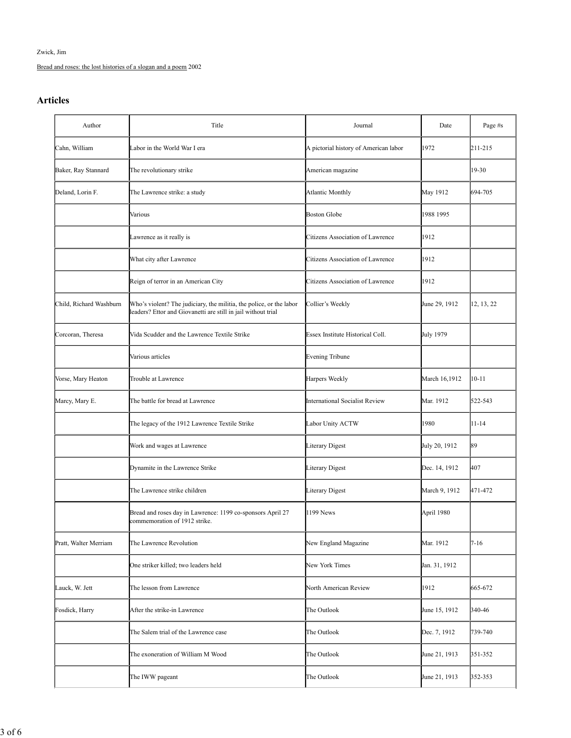Zwick, Jim

Bread and roses: the lost histories of a slogan and a poem 2002

## **Articles**

| Author                  | Title                                                                                                                                | Journal                               | Date          | Page #s    |
|-------------------------|--------------------------------------------------------------------------------------------------------------------------------------|---------------------------------------|---------------|------------|
| Cahn, William           | Labor in the World War I era                                                                                                         | A pictorial history of American labor | 1972          | 211-215    |
| Baker, Ray Stannard     | The revolutionary strike                                                                                                             | American magazine                     |               | 19-30      |
| Deland, Lorin F.        | The Lawrence strike: a study                                                                                                         | <b>Atlantic Monthly</b>               | May 1912      | 694-705    |
|                         | Various                                                                                                                              | <b>Boston Globe</b>                   | 1988 1995     |            |
|                         | Lawrence as it really is                                                                                                             | Citizens Association of Lawrence      | 1912          |            |
|                         | What city after Lawrence                                                                                                             | Citizens Association of Lawrence      | 1912          |            |
|                         | Reign of terror in an American City                                                                                                  | Citizens Association of Lawrence      | 1912          |            |
| Child, Richard Washburn | Who's violent? The judiciary, the militia, the police, or the labor<br>leaders? Ettor and Giovanetti are still in jail without trial | Collier's Weekly                      | June 29, 1912 | 12, 13, 22 |
| Corcoran, Theresa       | Vida Scudder and the Lawrence Textile Strike                                                                                         | Essex Institute Historical Coll.      | July 1979     |            |
|                         | Various articles                                                                                                                     | <b>Evening Tribune</b>                |               |            |
| Vorse, Mary Heaton      | Trouble at Lawrence                                                                                                                  | Harpers Weekly                        | March 16,1912 | $10 - 11$  |
| Marcy, Mary E.          | The battle for bread at Lawrence                                                                                                     | <b>International Socialist Review</b> | Mar. 1912     | 522-543    |
|                         | The legacy of the 1912 Lawrence Textile Strike                                                                                       | Labor Unity ACTW                      | 1980          | 11-14      |
|                         | Work and wages at Lawrence                                                                                                           | Literary Digest                       | July 20, 1912 | 89         |
|                         | Dynamite in the Lawrence Strike                                                                                                      | Literary Digest                       | Dec. 14, 1912 | 407        |
|                         | The Lawrence strike children                                                                                                         | <b>Literary Digest</b>                | March 9, 1912 | 471-472    |
|                         | Bread and roses day in Lawrence: 1199 co-sponsors April 27<br>commemoration of 1912 strike.                                          | 1199 News                             | April 1980    |            |
| Pratt, Walter Merriam   | The Lawrence Revolution                                                                                                              | New England Magazine                  | Mar. 1912     | $7 - 16$   |
|                         | One striker killed; two leaders held                                                                                                 | New York Times                        | Jan. 31, 1912 |            |
| Lauck, W. Jett          | The lesson from Lawrence                                                                                                             | North American Review                 | 1912          | 665-672    |
| Fosdick, Harry          | After the strike-in Lawrence                                                                                                         | The Outlook                           | June 15, 1912 | 340-46     |
|                         | The Salem trial of the Lawrence case                                                                                                 | The Outlook                           | Dec. 7, 1912  | 739-740    |
|                         | The exoneration of William M Wood                                                                                                    | The Outlook                           | June 21, 1913 | 351-352    |
|                         | The IWW pageant                                                                                                                      | The Outlook                           | June 21, 1913 | 352-353    |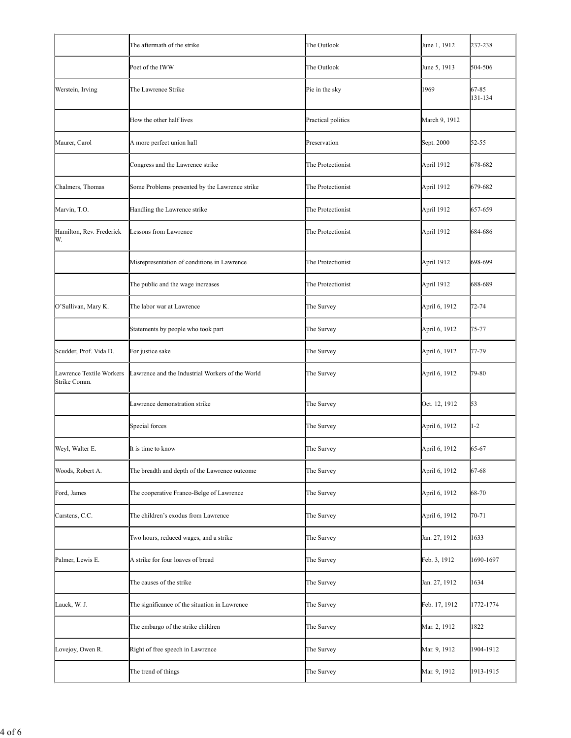|                                          | The aftermath of the strike                      | The Outlook        | June 1, 1912  | 237-238          |
|------------------------------------------|--------------------------------------------------|--------------------|---------------|------------------|
|                                          | Poet of the IWW                                  | The Outlook        | June 5, 1913  | 504-506          |
| Werstein, Irving                         | The Lawrence Strike                              | Pie in the sky     | 1969          | 67-85<br>131-134 |
|                                          | How the other half lives                         | Practical politics | March 9, 1912 |                  |
| Maurer, Carol                            | A more perfect union hall                        | Preservation       | Sept. 2000    | $52 - 55$        |
|                                          | Congress and the Lawrence strike                 | The Protectionist  | April 1912    | 678-682          |
| Chalmers, Thomas                         | Some Problems presented by the Lawrence strike   | The Protectionist  | April 1912    | 679-682          |
| Marvin, T.O.                             | Handling the Lawrence strike                     | The Protectionist  | April 1912    | 657-659          |
| Hamilton, Rev. Frederick<br>W.           | Lessons from Lawrence                            | The Protectionist  | April 1912    | 684-686          |
|                                          | Misrepresentation of conditions in Lawrence      | The Protectionist  | April 1912    | 698-699          |
|                                          | The public and the wage increases                | The Protectionist  | April 1912    | 688-689          |
| O'Sullivan, Mary K.                      | The labor war at Lawrence                        | The Survey         | April 6, 1912 | 72-74            |
|                                          | Statements by people who took part               | The Survey         | April 6, 1912 | 75-77            |
| Scudder, Prof. Vida D.                   | For justice sake                                 | The Survey         | April 6, 1912 | 77-79            |
| Lawrence Textile Workers<br>Strike Comm. | Lawrence and the Industrial Workers of the World | The Survey         | April 6, 1912 | 79-80            |
|                                          | Lawrence demonstration strike                    | The Survey         | Oct. 12, 1912 | 53               |
|                                          | Special forces                                   | The Survey         | April 6, 1912 | $1-2$            |
| Weyl, Walter E.                          | It is time to know                               | The Survey         | April 6, 1912 | 65-67            |
| Woods, Robert A.                         | The breadth and depth of the Lawrence outcome    | The Survey         | April 6, 1912 | 67-68            |
| Ford, James                              | The cooperative Franco-Belge of Lawrence         | The Survey         | April 6, 1912 | 68-70            |
| Carstens, C.C.                           | The children's exodus from Lawrence              | The Survey         | April 6, 1912 | 70-71            |
|                                          | Two hours, reduced wages, and a strike           | The Survey         | Jan. 27, 1912 | 1633             |
| Palmer, Lewis E.                         | A strike for four loaves of bread                | The Survey         | Feb. 3, 1912  | 1690-1697        |
|                                          | The causes of the strike                         | The Survey         | Jan. 27, 1912 | 1634             |
| Lauck, W. J.                             | The significance of the situation in Lawrence    | The Survey         | Feb. 17, 1912 | 1772-1774        |
|                                          | The embargo of the strike children               | The Survey         | Mar. 2, 1912  | 1822             |
| Lovejoy, Owen R.                         | Right of free speech in Lawrence                 | The Survey         | Mar. 9, 1912  | 1904-1912        |
|                                          | The trend of things                              | The Survey         | Mar. 9, 1912  | 1913-1915        |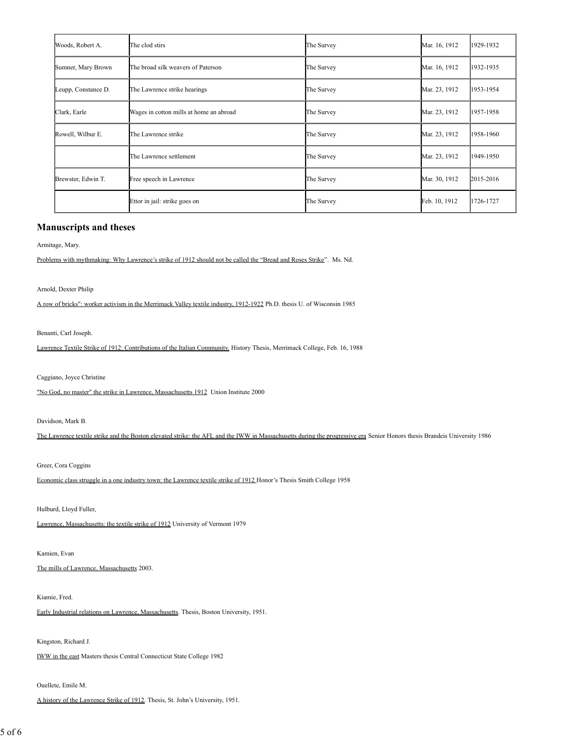| Woods, Robert A.    | The clod stirs                          | The Survey | Mar. 16, 1912 | 1929-1932 |
|---------------------|-----------------------------------------|------------|---------------|-----------|
| Sumner, Mary Brown  | The broad silk weavers of Paterson      | The Survey | Mar. 16, 1912 | 1932-1935 |
| Leupp, Constance D. | The Lawrence strike hearings            | The Survey | Mar. 23, 1912 | 1953-1954 |
| Clark, Earle        | Wages in cotton mills at home an abroad | The Survey | Mar. 23, 1912 | 1957-1958 |
| Rowell, Wilbur E.   | The Lawrence strike                     | The Survey | Mar. 23, 1912 | 1958-1960 |
|                     | The Lawrence settlement                 | The Survey | Mar. 23, 1912 | 1949-1950 |
| Brewster, Edwin T.  | Free speech in Lawrence                 | The Survey | Mar. 30, 1912 | 2015-2016 |
|                     | Ettor in jail: strike goes on           | The Survey | Feb. 10, 1912 | 1726-1727 |

## **Manuscripts and theses**

Armitage, Mary.

Problems with mythmaking: Why Lawrence's strike of 1912 should not be called the "Bread and Roses Strike". Ms. Nd.

Arnold, Dexter Philip

A row of bricks": worker activism in the Merrimack Valley textile industry, 1912-1922 Ph.D. thesis U. of Wisconsin 1985

Benanti, Carl Joseph.

Lawrence Textile Strike of 1912: Contributions of the Italian Community. History Thesis, Merrimack College, Feb. 16, 1988

Caggiano, Joyce Christine

"No God, no master" the strike in Lawrence, Massachusetts 1912 Union Institute 2000

Davidson, Mark B.

The Lawrence textile strike and the Boston elevated strike: the AFL and the IWW in Massachusetts during the progressive era Senior Honors thesis Brandeis University 1986

Greer, Cora Coggins

Economic class struggle in a one industry town: the Lawrence textile strike of 1912 Honor's Thesis Smith College 1958

Hulburd, Lloyd Fuller,

Lawrence, Massachusetts: the textile strike of 1912 University of Vermont 1979

Kamien, Evan

The mills of Lawrence, Massachusetts 2003.

Kiamie, Fred.

Early Industrial relations on Lawrence, Massachusetts. Thesis, Boston University, 1951.

Kingston, Richard J.

IWW in the east Masters thesis Central Connecticut State College 1982

Ouellete, Emile M.

A history of the Lawrence Strike of 1912. Thesis, St. John's University, 1951.